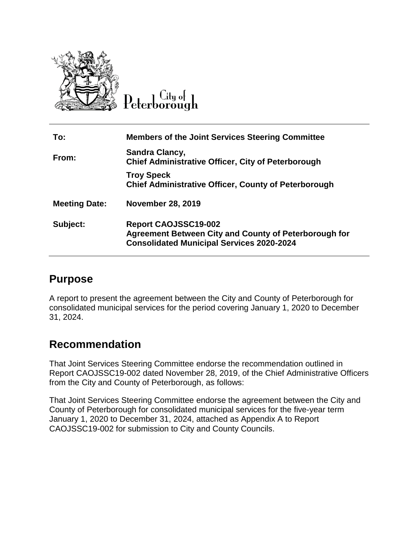

 $C$ ity of Peterborough

| To:                  | <b>Members of the Joint Services Steering Committee</b>                                                                                         |
|----------------------|-------------------------------------------------------------------------------------------------------------------------------------------------|
| From:                | Sandra Clancy,<br><b>Chief Administrative Officer, City of Peterborough</b>                                                                     |
|                      | <b>Troy Speck</b><br><b>Chief Administrative Officer, County of Peterborough</b>                                                                |
| <b>Meeting Date:</b> | <b>November 28, 2019</b>                                                                                                                        |
| Subject:             | <b>Report CAOJSSC19-002</b><br><b>Agreement Between City and County of Peterborough for</b><br><b>Consolidated Municipal Services 2020-2024</b> |

## **Purpose**

A report to present the agreement between the City and County of Peterborough for consolidated municipal services for the period covering January 1, 2020 to December 31, 2024.

## **Recommendation**

That Joint Services Steering Committee endorse the recommendation outlined in Report CAOJSSC19-002 dated November 28, 2019, of the Chief Administrative Officers from the City and County of Peterborough, as follows:

That Joint Services Steering Committee endorse the agreement between the City and County of Peterborough for consolidated municipal services for the five-year term January 1, 2020 to December 31, 2024, attached as Appendix A to Report CAOJSSC19-002 for submission to City and County Councils.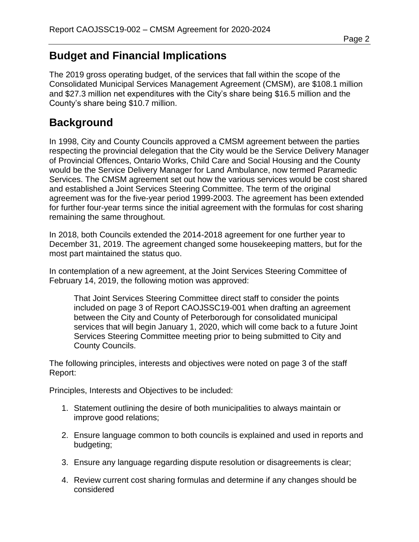# **Budget and Financial Implications**

The 2019 gross operating budget, of the services that fall within the scope of the Consolidated Municipal Services Management Agreement (CMSM), are \$108.1 million and \$27.3 million net expenditures with the City's share being \$16.5 million and the County's share being \$10.7 million.

### **Background**

In 1998, City and County Councils approved a CMSM agreement between the parties respecting the provincial delegation that the City would be the Service Delivery Manager of Provincial Offences, Ontario Works, Child Care and Social Housing and the County would be the Service Delivery Manager for Land Ambulance, now termed Paramedic Services. The CMSM agreement set out how the various services would be cost shared and established a Joint Services Steering Committee. The term of the original agreement was for the five-year period 1999-2003. The agreement has been extended for further four-year terms since the initial agreement with the formulas for cost sharing remaining the same throughout.

In 2018, both Councils extended the 2014-2018 agreement for one further year to December 31, 2019. The agreement changed some housekeeping matters, but for the most part maintained the status quo.

In contemplation of a new agreement, at the Joint Services Steering Committee of February 14, 2019, the following motion was approved:

That Joint Services Steering Committee direct staff to consider the points included on page 3 of Report CAOJSSC19-001 when drafting an agreement between the City and County of Peterborough for consolidated municipal services that will begin January 1, 2020, which will come back to a future Joint Services Steering Committee meeting prior to being submitted to City and County Councils.

The following principles, interests and objectives were noted on page 3 of the staff Report:

Principles, Interests and Objectives to be included:

- 1. Statement outlining the desire of both municipalities to always maintain or improve good relations;
- 2. Ensure language common to both councils is explained and used in reports and budgeting;
- 3. Ensure any language regarding dispute resolution or disagreements is clear;
- 4. Review current cost sharing formulas and determine if any changes should be considered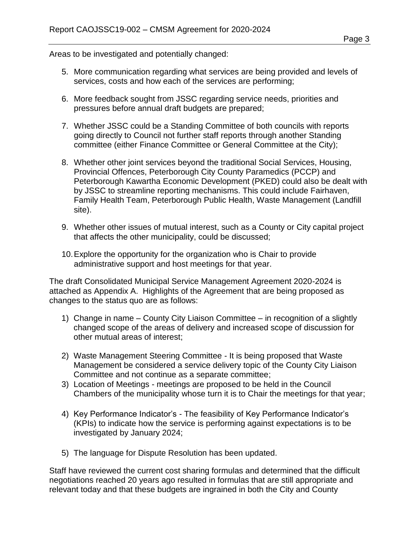Areas to be investigated and potentially changed:

- 5. More communication regarding what services are being provided and levels of services, costs and how each of the services are performing;
- 6. More feedback sought from JSSC regarding service needs, priorities and pressures before annual draft budgets are prepared;
- 7. Whether JSSC could be a Standing Committee of both councils with reports going directly to Council not further staff reports through another Standing committee (either Finance Committee or General Committee at the City);
- 8. Whether other joint services beyond the traditional Social Services, Housing, Provincial Offences, Peterborough City County Paramedics (PCCP) and Peterborough Kawartha Economic Development (PKED) could also be dealt with by JSSC to streamline reporting mechanisms. This could include Fairhaven, Family Health Team, Peterborough Public Health, Waste Management (Landfill site).
- 9. Whether other issues of mutual interest, such as a County or City capital project that affects the other municipality, could be discussed;
- 10.Explore the opportunity for the organization who is Chair to provide administrative support and host meetings for that year.

The draft Consolidated Municipal Service Management Agreement 2020-2024 is attached as Appendix A. Highlights of the Agreement that are being proposed as changes to the status quo are as follows:

- 1) Change in name County City Liaison Committee in recognition of a slightly changed scope of the areas of delivery and increased scope of discussion for other mutual areas of interest;
- 2) Waste Management Steering Committee It is being proposed that Waste Management be considered a service delivery topic of the County City Liaison Committee and not continue as a separate committee;
- 3) Location of Meetings meetings are proposed to be held in the Council Chambers of the municipality whose turn it is to Chair the meetings for that year;
- 4) Key Performance Indicator's The feasibility of Key Performance Indicator's (KPIs) to indicate how the service is performing against expectations is to be investigated by January 2024;
- 5) The language for Dispute Resolution has been updated.

Staff have reviewed the current cost sharing formulas and determined that the difficult negotiations reached 20 years ago resulted in formulas that are still appropriate and relevant today and that these budgets are ingrained in both the City and County